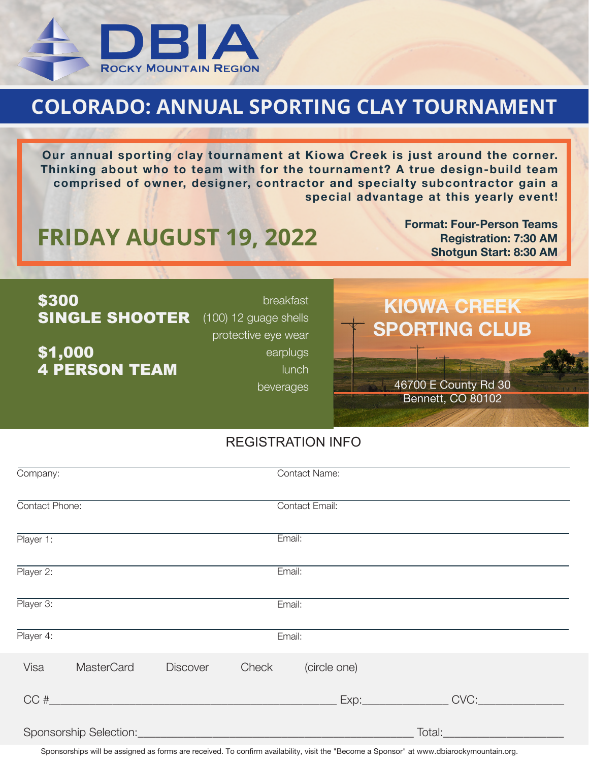

## **COLORADO: ANNUAL SPORTING CLAY TOURNAMENT**

**Our annual sporting clay tournament at Kiowa Creek is just around the corner. Thinking about who to team with for the tournament? A true design-build team comprised of owner, designer, contractor and specialty subcontractor gain a special advantage at this yearly event!**

## **FRIDAY AUGUST 19, 2022**<br>
Shotgun Start: 8:30 AM

**Format: Four-Person Teams Registration: 7:30 AM**

| \$300<br><b>SINGLE SHOOTER</b>  | breakfast<br>$(100)$ 12 guage shells<br>protective eye wear | <b>KIOWA CREEK</b><br><b>SPORTING CLUB</b> |
|---------------------------------|-------------------------------------------------------------|--------------------------------------------|
| \$1,000<br><b>4 PERSON TEAM</b> | earplugs<br><b>lunch</b><br>beverages                       | 46700 E County Rd 30<br>Bennett, CO 80102  |

## REGISTRATION INFO

| Company:       |                        |                 |        | <b>Contact Name:</b>  |        |  |
|----------------|------------------------|-----------------|--------|-----------------------|--------|--|
| Contact Phone: |                        |                 |        | <b>Contact Email:</b> |        |  |
| Player 1:      |                        |                 |        | Email:                |        |  |
| Player 2:      |                        |                 | Email: |                       |        |  |
| Player 3:      |                        |                 |        | Email:                |        |  |
| Player 4:      |                        |                 | Email: |                       |        |  |
| Visa           | <b>MasterCard</b>      | <b>Discover</b> | Check  | (circle one)          |        |  |
|                | CC#                    |                 |        |                       | CVC:   |  |
|                | Sponsorship Selection: |                 |        |                       | Total: |  |

Sponsorships will be assigned as forms are received. To confirm availability, visit the "Become a Sponsor" at www.dbiarockymountain.org.